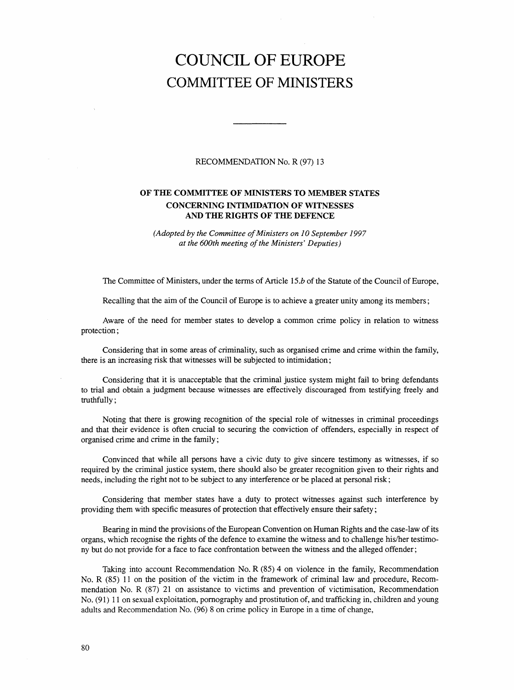# COUNCIL OF EUROPE COMMITTEE OF MINISTERS

# RECOMMENDATION No. R (97) 13

# OF THE COMMITTEE OF MINISTERS TO MEMBER STATES CONCERNING INTIMIDATION OF WITNESSES AND THE RIGHTS OF THE DEFENCE

(Adopted by the Committee of Ministers on 10 September 1997 at the 600th meeting of the Ministers' Deputies)

The Committee of Ministers, under the terms of Article 15.*b* of the Statute of the Council of Europe,

Recalling that the aim of the Council of Europe is to achieve a greater unity among its members;

Aware of the need for member states to develop a common crime policy in relation to witness protection;

Considering that in some areas of criminality, such as organised crime and crime within the family, there is an increasing risk that witnesses will be subjected to intimidation;

Considering that it is unacceptable that the criminal justice system might fail to bring defendants to trial and obtain a judgment because witnesses are effectively discouraged from testifying freely and truthfully;

Noting that there is growing recognition of the special role of witnesses in criminal proceedings and that their evidence is often crucial to securing the conviction of offenders, especially in respect of organised crime and crime in the family;

Convinced that while all persons have a civic duty to give sincere testimony as witnesses, if so required by the criminal justice system, there should also be greater recognition given to their rights and needs, including the right not to be subject to any interference or be placed at personal risk;

Considering that member states have a duty to protect witnesses against such interference by providing them with specific measures of protection that effectively ensure their safety;

Bearing in mind the provisions of the European Convention on Human Rights and the case-law of its organs, which recognise the rights of the defence to examine the witness and to challenge his/her testimony but do not provide for a face to face confrontation between the witness and the alleged offender;

Taking into account Recommendation No. R (85) 4 on violence in the family, Recommendation No. R (85) 11 on the position of the victim in the framework of criminal law and procedure, Recommendation No. R (87) 21 on assistance to victims and prevention of victimisation, Recommendation No. (91) 11 on sexual exploitation, pornography and prostitution of, and trafficking in, children and young adults and Recommendation No. (96) 8 on crime policy in Europe in a time of change,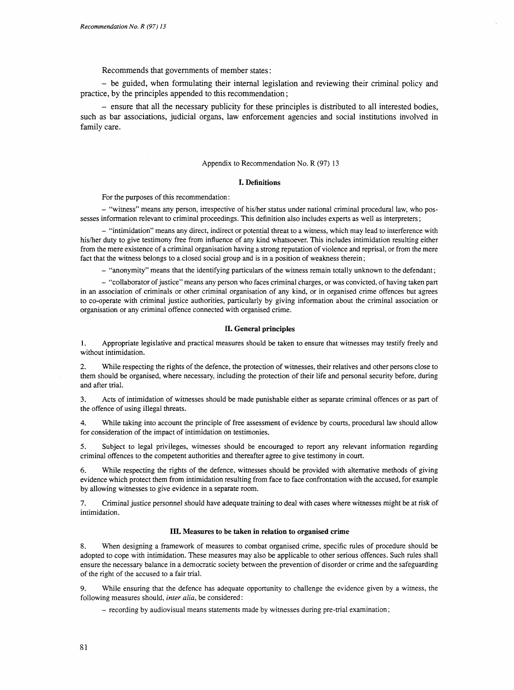Recommends that governments of member states:

- be guided, when formulating their internal legislation and reviewing their criminal policy and practice, by the principles appended to this recommendation;

- ensure that all the necessary publicity for these principles is distributed to all interested bodies, such as bar associations, judicial organs, law enforcement agencies and social institutions involved in family care.

### Appendix to Recommendation No. R (97) 13

## I. Definitions

For the purposes of this recommendation:

- "witness" means any person, irrespective of his/her status under national criminal procedural law, who possesses information relevant to criminal proceedings. This definition also includes experts as well as interpreters;

- "intimidation" means any direct, indirect or potential threat to a witness, which may lead to interference with his/her duty to give testimony free from influence of any kind whatsoever. This includes intimidation resulting either from the mere existence of a criminal organisation having a strong reputation of violence and reprisal, or from the mere fact that the witness belongs to a closed social group and is in a position of weakness therein;

- "anonymity" means that the identifying particulars of the witness remain totally unknown to the defendant;

- "collaborator of justice" means any person who faces criminal charges, or was convicted, of having taken part in an association of criminals or other criminal organisation of any kind, or in organised crime offences but agrees to co-operate with criminal justice authorities, particularly by giving information about the criminal association or organisation or any criminal offence connected with organised crime.

#### II. General principles

1. Appropriate legislative and practical measures should be taken to ensure that witnesses may testify freely and without intimidation.

2. While respecting the rights of the defence, the protection of witnesses, their relatives and other persons close to them should be organised, where necessary, including the protection of their life and personal security before, during and after trial.

3. Acts of intimidation of witnesses should be made punishable either as separate criminal offences or as part of the offence of using illegal threats.

4. While taking into account the principle of free assessment of evidence by courts, procedural law should allow for consideration of the impact of intimidation on testimonies.

5. Subject to legal privileges, witnesses should be encouraged to report any relevant information regarding criminal offences to the competent authorities and thereafter agree to give testimony in court.

6. While respecting the rights of the defence, witnesses should be provided with alternative methods of giving evidence which protect them from intimidation resulting from face to face confrontation with the accused, for example by allowing witnesses to give evidence in a separate room.

7. Criminal justice personnel should have adequate training to deal with cases where witnesses might be at risk of intimidation.

### III. Measures to be taken in relation to organised crime

8. When designing a framework of measures to combat organised crime, specific rules of procedure should be adopted to cope with intimidation. These measures may also be applicable to other serious offences. Such rules shall ensure the necessary balance in a democratic society between the prevention of disorder or crime and the safeguarding of the right of the accused to a fair trial.

9. While ensuring that the defence has adequate opportunity to challenge the evidence given by a witness, the following measures should, inter alia, be considered:

- recording by audiovisual means statements made by witnesses during pre-trial examination;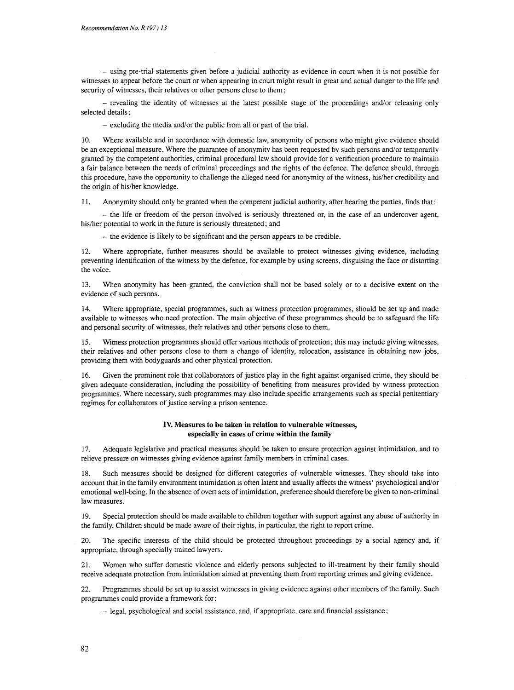- using pre-trial statements given before a judicial authority as evidence in court when it is not possible for witnesses to appear before the court or when appearing in court might result in great and actual danger to the life and security of witnesses, their relatives or other persons close to them;

- revealing the identity of witnesses at the latest possible stage of the proceedings and/or releasing only selected details;

- excluding the media and/or the public from all or part of the trial.

10. Where available and in accordance with domestic law, anonymity of persons who might give evidence should be an exceptional measure. Where the guarantee of anonymity has been requested by such persons and/or temporarily granted by the competent authorities, criminal procedural law should provide for a verification procedure to maintain a fair balance between the needs of criminal proceedings and the rights of the defence. The defence should, through this procedure, have the opportunity to challenge the alleged need for anonymity of the witness, his/her credibility and the origin of his/her knowledge.

11. Anonymity should only be granted when the competent judicial authority, after hearing the parties, finds that:

- the life or freedom of the person involved is seriously threatened or, in the case of an undercover agent, his/her potential to work in the future is seriously threatened; and

- the evidence is likely to be significant and the person appears to be credible.

12. Where appropriate, further measures should be available to protect witnesses giving evidence, including preventing identification of the witness by the defence, for example by using screens, disguising the face or distorting the voice.

13. When anonymity has been granted, the conviction shall not be based solely or to a decisive extent on the evidence of such persons.

14. Where appropriate, special programmes, such as witness protection programmes, should be set up and made available to witnesses who need protection. The main objective of these programmes should be to safeguard the life and personal security of witnesses, their relatives and other persons close to them.

15. Witness protection programmes should offer various methods of protection; this may include giving witnesses, their relatives and other persons close to them a change of identity, relocation, assistance in obtaining new jobs, providing them with bodyguards and other physical protection.

16. Given the prominent role that collaborators of justice play in the fight against organised crime, they should be given adequate consideration, including the possibility of benefiting from measures provided by witness protection programmes. Where necessary, such programmes may also include specific arrangements such as special penitentiary regimes for collaborators of justice serving a prison sentence.

# IV. Measures to be taken in relation to vulnerable witnesses, especially in cases of crime within the family

17. Adequate legislative and practical measures should be taken to ensure protection against intimidation, and to relieve pressure on witnesses giving evidence against family members in criminal cases.

18. Such measures should be designed for different categories of vulnerable witnesses. They should take into account that in the family environment intimidation is often latent and usually affects the witness' psychological and/or emotional well-being. In the absence of overt acts of intimidation, preference should therefore be given to non-criminal law measures.

19. Special protection should be made available to children together with support against any abuse of authority in the family. Children should be made aware of their rights, in particular, the right to report crime.

20. The specific interests of the child should be protected throughout proceedings by a social agency and, if appropriate, through specially trained lawyers.

21. Women who suffer domestic violence and elderly persons subjected to ill-treatment by their family should receive adequate protection from intimidation aimed at preventing them from reporting crimes and giving evidence.

22. Programmes should be set up to assist witnesses in giving evidence against other members of the family. Such programmes could provide a framework for:

- legal, psychological and social assistance, and, if appropriate, care and financial assistance;